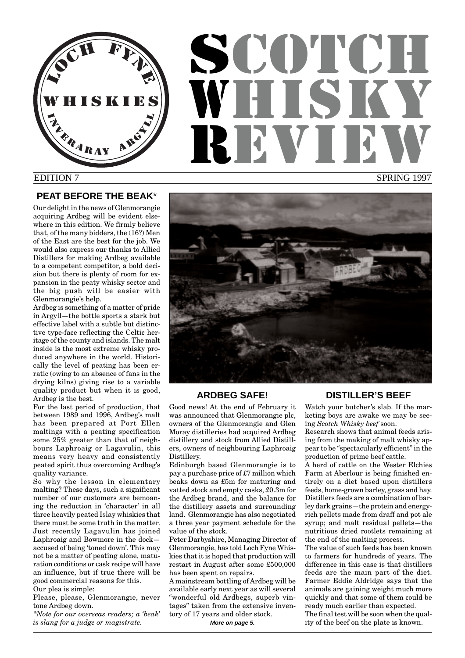

# **SCOTCH** WHUT REVIEW

# EDITION 7

SPRING 1997

# **PEAT BEFORE THE BEAK**\*

Our delight in the news of Glenmorangie acquiring Ardbeg will be evident elsewhere in this edition. We firmly believe that, of the many bidders, the (16?) Men of the East are the best for the job. We would also express our thanks to Allied Distillers for making Ardbeg available to a competent competitor, a bold decision but there is plenty of room for expansion in the peaty whisky sector and the big push will be easier with Glenmorangie's help.

Ardbeg is something of a matter of pride in Argyll—the bottle sports a stark but effective label with a subtle but distinctive type-face reflecting the Celtic heritage of the county and islands. The malt inside is the most extreme whisky produced anywhere in the world. Historically the level of peating has been erratic (owing to an absence of fans in the drying kilns) giving rise to a variable quality product but when it is good, Ardbeg is the best.

For the last period of production, that between 1989 and 1996, Ardbeg's malt has been prepared at Port Ellen maltings with a peating specification some 25% greater than that of neighbours Laphroaig or Lagavulin, this means very heavy and consistently peated spirit thus overcoming Ardbeg's quality variance.

So why the lesson in elementary malting? These days, such a significant number of our customers are bemoaning the reduction in 'character' in all three heavily peated Islay whiskies that there must be some truth in the matter. Just recently Lagavulin has joined Laphroaig and Bowmore in the dock accused of being 'toned down'. This may not be a matter of peating alone, maturation conditions or cask recipe will have an influence, but if true there will be good commercial reasons for this. Our plea is simple:

Please, please, Glenmorangie, never tone Ardbeg down.

*\*Note for our overseas readers; a 'beak' is slang for a judge or magistrate.*



# **ARDBEG SAFE!**

Good news! At the end of February it was announced that Glenmorangie plc, owners of the Glenmorangie and Glen Moray distilleries had acquired Ardbeg distillery and stock from Allied Distillers, owners of neighbouring Laphroaig Distillery.

Edinburgh based Glenmorangie is to pay a purchase price of £7 million which beaks down as £5m for maturing and vatted stock and empty casks, £0.3m for the Ardbeg brand, and the balance for the distillery assets and surrounding land. Glenmorangie has also negotiated a three year payment schedule for the value of the stock.

Peter Darbyshire, Managing Director of Glenmorangie, has told Loch Fyne Whiskies that it is hoped that production will restart in August after some £500,000 has been spent on repairs.

A mainstream bottling of Ardbeg will be available early next year as will several "wonderful old Ardbegs, superb vintages" taken from the extensive inventory of 17 years and older stock.

**More on page 5.**

# **DISTILLER'S BEEF**

Watch your butcher's slab. If the marketing boys are awake we may be seeing *Scotch Whisky beef* soon.

Research shows that animal feeds arising from the making of malt whisky appear to be "spectacularly efficient" in the production of prime beef cattle.

A herd of cattle on the Wester Elchies Farm at Aberlour is being finished entirely on a diet based upon distillers feeds, home-grown barley, grass and hay. Distillers feeds are a combination of barley dark grains—the protein and energyrich pellets made from draff and pot ale syrup; and malt residual pellets—the nutritious dried rootlets remaining at the end of the malting process.

The value of such feeds has been known to farmers for hundreds of years. The difference in this case is that distillers feeds are the main part of the diet. Farmer Eddie Aldridge says that the animals are gaining weight much more quickly and that some of them could be ready much earlier than expected. The final test will be soon when the quality of the beef on the plate is known.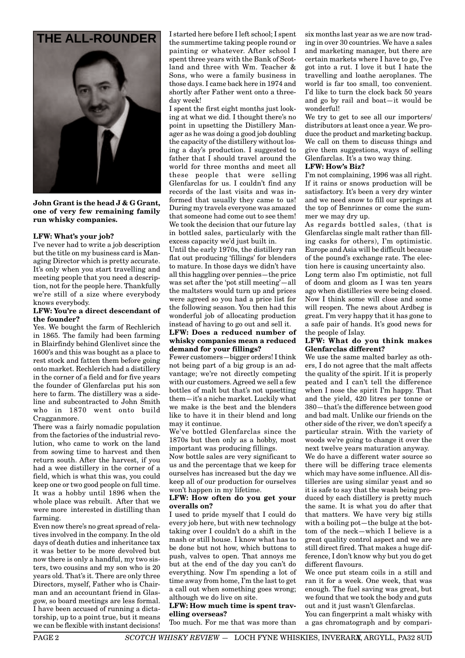



**John Grant is the head J & G Grant, one of very few remaining family run whisky companies.**

# **LFW: What's your job?**

I've never had to write a job description but the title on my business card is Managing Director which is pretty accurate. It's only when you start travelling and meeting people that you need a description, not for the people here. Thankfully we're still of a size where everybody knows everybody.

#### **LFW: You're a direct descendant of the founder?**

Yes. We bought the farm of Rechlerich in 1865. The family had been farming in Blairfindy behind Glenlivet since the 1600's and this was bought as a place to rest stock and fatten them before going onto market. Rechlerich had a distillery in the corner of a field and for five years the founder of Glenfarclas put his son here to farm. The distillery was a sideline and subcontracted to John Smith who in 1870 went onto build Cragganmore.

There was a fairly nomadic population from the factories of the industrial revolution, who came to work on the land from sowing time to harvest and then return south. After the harvest, if you had a wee distillery in the corner of a field, which is what this was, you could keep one or two good people on full time. It was a hobby until 1896 when the whole place was rebuilt. After that we were more interested in distilling than farming.

Even now there's no great spread of relatives involved in the company. In the old days of death duties and inheritance tax it was better to be more devolved but now there is only a handful, my two sisters, two cousins and my son who is 20 years old. That's it. There are only three Directors, myself, Father who is Chairman and an accountant friend in Glasgow, so board meetings are less formal. I have been accused of running a dictatorship, up to a point true, but it means we can be flexible with instant decisions!

I started here before I left school; I spent the summertime taking people round or painting or whatever. After school I spent three years with the Bank of Scotland and three with Wm. Teacher & Sons, who were a family business in those days. I came back here in 1974 and shortly after Father went onto a threeday week! **THE ALL-ROUNDER**  $\begin{bmatrix} I & \text{started here before I left school; I spent} \\ \text{the current method to be given by the sum of an interval.} \end{bmatrix}$ 

> I spent the first eight months just looking at what we did. I thought there's no point in upsetting the Distillery Manager as he was doing a good job doubling the capacity of the distillery without losing a day's production. I suggested to father that I should travel around the world for three months and meet all these people that were selling Glenfarclas for us. I couldn't find any records of the last visits and was informed that usually they came to us! During my travels everyone was amazed that someone had come out to see them! We took the decision that our future lay in bottled sales, particularly with the excess capacity we'd just built in.

> Until the early 1970s, the distillery ran flat out producing 'fillings' for blenders to mature. In those days we didn't have all this haggling over pennies—the price was set after the 'pot still meeting'—all the maltsters would turn up and prices were agreed so you had a price list for the following season. You then had this wonderful job of allocating production instead of having to go out and sell it.

#### **LFW: Does a reduced number of whisky companies mean a reduced demand for your fillings?**

Fewer customers—bigger orders! I think not being part of a big group is an advantage; we're not directly competing with our customers. Agreed we sell a few bottles of malt but that's not upsetting them—it's a niche market. Luckily what we make is the best and the blenders like to have it in their blend and long may it continue.

We've bottled Glenfarclas since the 1870s but then only as a hobby, most important was producing fillings.

Now bottle sales are very significant to us and the percentage that we keep for ourselves has increased but the day we keep all of our production for ourselves won't happen in my lifetime.

# **LFW: How often do you get your overalls on?**

I used to pride myself that I could do every job here, but with new technology taking over I couldn't do a shift in the mash or still house. I know what has to be done but not how, which buttons to push, valves to open. That annoys me but at the end of the day you can't do everything. Now I'm spending a lot of time away from home, I'm the last to get a call out when something goes wrong; although we do live on site.

#### **LFW: How much time is spent travelling overseas?**

Too much. For me that was more than

ing in over 30 countries. We have a sales and marketing manager, but there are certain markets where I have to go, I've got into a rut. I love it but I hate the travelling and loathe aeroplanes. The world is far too small, too convenient. I'd like to turn the clock back 50 years and go by rail and boat—it would be wonderful!

We try to get to see all our importers/ distributors at least once a year. We produce the product and marketing backup. We call on them to discuss things and give them suggestions, ways of selling Glenfarclas. It's a two way thing.

# **LFW: How's Biz?**

I'm not complaining, 1996 was all right. If it rains or snows production will be satisfactory. It's been a very dry winter and we need snow to fill our springs at the top of Benrinnes or come the summer we may dry up.

As regards bottled sales, (that is Glenfarclas single malt rather than filling casks for others), I'm optimistic. Europe and Asia will be difficult because of the pound's exchange rate. The election here is causing uncertainty also.

Long term also I'm optimistic, not full of doom and gloom as I was ten years ago when distilleries were being closed. Now I think some will close and some will reopen. The news about Ardbeg is great. I'm very happy that it has gone to a safe pair of hands. It's good news for the people of Islay.

# **LFW: What do you think makes Glenfarclas different?**

We use the same malted barley as others, I do not agree that the malt affects the quality of the spirit. If it is properly peated and I can't tell the difference when I nose the spirit I'm happy. That and the yield, 420 litres per tonne or 380—that's the difference between good and bad malt. Unlike our friends on the other side of the river, we don't specify a particular strain. With the variety of woods we're going to change it over the next twelve years maturation anyway.

We do have a different water source so there will be differing trace elements which may have some influence. All distilleries are using similar yeast and so it is safe to say that the wash being produced by each distillery is pretty much the same. It is what you do after that that matters. We have very big stills with a boiling pot—the bulge at the bottom of the neck—which I believe is a great quality control aspect and we are still direct fired. That makes a huge difference, I don't know why but you do get different flavours.

We once put steam coils in a still and ran it for a week. One week, that was enough. The fuel saving was great, but we found that we took the body and guts out and it just wasn't Glenfarclas.

You can fingerprint a malt whisky with a gas chromatograph and by compari-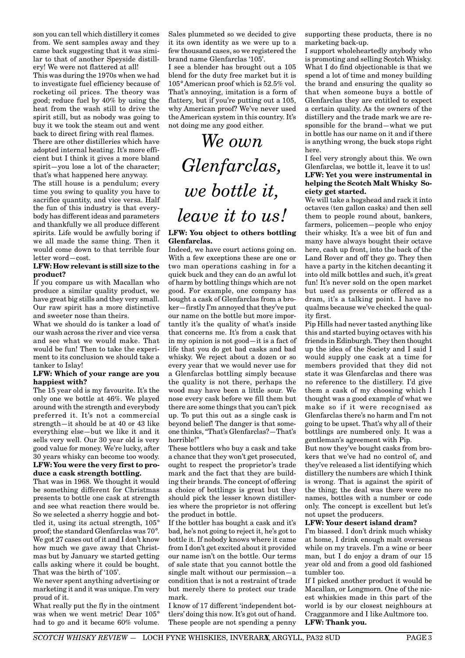son you can tell which distillery it comes from. We sent samples away and they came back suggesting that it was similar to that of another Speyside distillery! We were not flattered at all!

This was during the 1970s when we had to investigate fuel efficiency because of rocketing oil prices. The theory was good; reduce fuel by 40% by using the heat from the wash still to drive the spirit still, but as nobody was going to buy it we took the steam out and went back to direct firing with real flames.

There are other distilleries which have adopted internal heating. It's more efficient but I think it gives a more bland spirit—you lose a lot of the character; that's what happened here anyway.

The still house is a pendulum; every time you swing to quality you have to sacrifice quantity, and vice versa. Half the fun of this industry is that everybody has different ideas and parameters and thankfully we all produce different spirits. Life would be awfully boring if we all made the same thing. Then it would come down to that terrible four letter word—cost.

#### **LFW: How relevant is still size to the product?**

If you compare us with Macallan who produce a similar quality product, we have great big stills and they very small. Our raw spirit has a more distinctive and sweeter nose than theirs.

What we should do is tanker a load of our wash across the river and vice versa and see what we would make. That would be fun! Then to take the experiment to its conclusion we should take a tanker to Islay!

#### **LFW: Which of your range are you happiest with?**

The 15 year old is my favourite. It's the only one we bottle at 46%. We played around with the strength and everybody preferred it. It's not a commercial strength—it should be at 40 or 43 like everything else—but we like it and it sells very well. Our 30 year old is very good value for money. We're lucky, after 30 years whisky can become too woody. **LFW: You were the very first to pro-**

# **duce a cask strength bottling.**

That was in 1968. We thought it would be something different for Christmas presents to bottle one cask at strength and see what reaction there would be. So we selected a sherry hoggie and bottled it, using its actual strength, 105° proof; the standard Glenfarclas was 70°. We got 27 cases out of it and I don't know how much we gave away that Christmas but by January we started getting calls asking where it could be bought. That was the birth of '105'.

We never spent anything advertising or marketing it and it was unique. I'm very proud of it.

What really put the fly in the ointment was when we went metric! Dear 105° had to go and it became 60% volume.

Sales plummeted so we decided to give it its own identity as we were up to a few thousand cases, so we registered the brand name Glenfarclas '105'.

I see a blender has brought out a 105 blend for the duty free market but it is 105° American proof which is 52.5% vol. That's annoying, imitation is a form of flattery, but if you're putting out a 105, why American proof? We've never used the American system in this country. It's not doing me any good either.

# *We own Glenfarclas, we bottle it, leave it to us!*

#### **LFW: You object to others bottling Glenfarclas.**

Indeed, we have court actions going on. With a few exceptions these are one or two man operations cashing in for a quick buck and they can do an awful lot of harm by bottling things which are not good. For example, one company has bought a cask of Glenfarclas from a broker—firstly I'm annoyed that they've put our name on the bottle but more importantly it's the quality of what's inside that concerns me. It's from a cask that in my opinion is not good—it is a fact of life that you do get bad casks and bad whisky. We reject about a dozen or so every year that we would never use for a Glenfarclas bottling simply because the quality is not there, perhaps the wood may have been a little sour. We nose every cask before we fill them but there are some things that you can't pick up. To put this out as a single cask is beyond belief! The danger is that someone thinks, "That's Glenfarclas?—That's horrible!"

These bottlers who buy a cask and take a chance that they won't get prosecuted, ought to respect the proprietor's trade mark and the fact that they are building their brands. The concept of offering a choice of bottlings is great but they should pick the lesser known distilleries where the proprietor is not offering the product in bottle.

If the bottler has bought a cask and it's bad, he's not going to reject it, he's got to bottle it. If nobody knows where it came from I don't get excited about it provided our name isn't on the bottle. Our terms of sale state that you cannot bottle the single malt without our permission—a condition that is not a restraint of trade but merely there to protect our trade mark.

I know of 17 different 'independent bottlers' doing this now. It's got out of hand. These people are not spending a penny supporting these products, there is no marketing back-up.

I support wholeheartedly anybody who is promoting and selling Scotch Whisky. What I do find objectionable is that we spend a lot of time and money building the brand and ensuring the quality so that when someone buys a bottle of Glenfarclas they are entitled to expect a certain quality. As the owners of the distillery and the trade mark we are responsible for the brand—what we put in bottle has our name on it and if there is anything wrong, the buck stops right here.

#### I feel very strongly about this. We own Glenfarclas, we bottle it, leave it to us! **LFW: Yet you were instrumental in helping the Scotch Malt Whisky Society get started.**

We will take a hogshead and rack it into octaves (ten gallon casks) and then sell them to people round about, bankers, farmers, policemen—people who enjoy their whisky. It's a wee bit of fun and many have always bought their octave here, cash up front, into the back of the Land Rover and off they go. They then have a party in the kitchen decanting it into old milk bottles and such, it's great fun! It's never sold on the open market but used as presents or offered as a dram, it's a talking point. I have no qualms because we've checked the quality first.

Pip Hills had never tasted anything like this and started buying octaves with his friends in Edinburgh. They then thought up the idea of the Society and I said I would supply one cask at a time for members provided that they did not state it was Glenfarclas and there was no reference to the distillery. I'd give them a cask of my choosing which I thought was a good example of what we make so if it were recognised as Glenfarclas there's no harm and I'm not going to be upset. That's why all of their bottlings are numbered only. It was a gentleman's agreement with Pip.

But now they've bought casks from brokers that we've had no control of, and they've released a list identifying which distillery the numbers are which I think is wrong. That is against the spirit of the thing; the deal was there were no names, bottles with a number or code only. The concept is excellent but let's not upset the producers.

#### **LFW: Your desert island dram?**

I'm biassed. I don't drink much whisky at home, I drink enough malt overseas while on my travels. I'm a wine or beer man, but I do enjoy a dram of our 15 year old and from a good old fashioned tumbler too.

If I picked another product it would be Macallan, or Longmorn. One of the nicest whiskies made in this part of the world is by our closest neighbours at Cragganmore and I like Aultmore too. **LFW: Thank you.**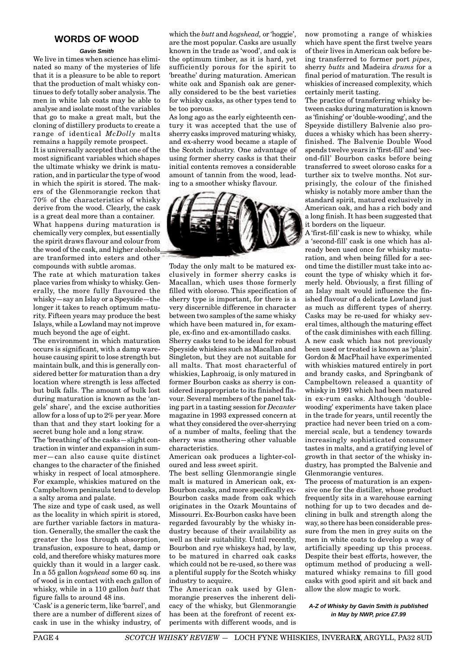# **WORDS OF WOOD**

#### **Gavin Smith**

We live in times when science has eliminated so many of the mysteries of life that it is a pleasure to be able to report that the production of malt whisky continues to defy totally sober analysis. The men in white lab coats may be able to analyse and isolate most of the variables that go to make a great malt, but the cloning of distillery products to create a range of identical *McDolly* malts remains a happily remote prospect. It is universally accepted that one of the most significant variables which shapes the ultimate whisky we drink is maturation, and in particular the type of wood in which the spirit is stored. The makers of the Glenmorangie reckon that 70% of the characteristics of whisky derive from the wood. Clearly, the cask is a great deal more than a container. What happens during maturation is chemically very complex, but essentially the spirit draws flavour and colour from the wood of the cask, and higher alcohols are tranformed into esters and other

compounds with subtle aromas. The rate at which maturation takes place varies from whisky to whisky. Generally, the more fully flavoured the whisky—say an Islay or a Speyside—the longer it takes to reach optimum maturity. Fifteen years may produce the best Islays, while a Lowland may not improve much beyond the age of eight.

The environment in which maturation occurs is significant, with a damp warehouse causing spirit to lose strength but maintain bulk, and this is generally considered better for maturation than a dry location where strength is less affected but bulk falls. The amount of bulk lost during maturation is known as the 'angels' share', and the excise authorities allow for a loss of up to 2% per year. More than that and they start looking for a secret bung hole and a long straw.

The 'breathing' of the casks—slight contraction in winter and expansion in summer—can also cause quite distinct changes to the character of the finished whisky in respect of local atmosphere. For example, whiskies matured on the Campbeltown peninsula tend to develop a salty aroma and palate.

The size and type of cask used, as well as the locality in which spirit is stored, are further variable factors in maturation. Generally, the smaller the cask the greater the loss through absorption, transfusion, exposure to heat, damp or cold, and therefore whisky matures more quickly than it would in a larger cask. In a 55 gallon *hogshead* some 60 sq. ins of wood is in contact with each gallon of whisky, while in a 110 gallon *butt* that figure falls to around 48 ins.

'Cask' is a generic term, like 'barrel', and there are a number of different sizes of cask in use in the whisky industry, of which the *butt* and *hogshead,* or 'hoggie', are the most popular. Casks are usually known in the trade as 'wood', and oak is the optimum timber, as it is hard, yet sufficiently porous for the spirit to 'breathe' during maturation. American white oak and Spanish oak are generally considered to be the best varieties for whisky casks, as other types tend to be too porous.

As long ago as the early eighteenth century it was accepted that the use of sherry casks improved maturing whisky, and ex-sherry wood became a staple of the Scotch industry. One advantage of using former sherry casks is that their initial contents removes a considerable amount of tannin from the wood, leading to a smoother whisky flavour.



Today the only malt to be matured exclusively in former sherry casks is Macallan, which uses those formerly filled with oloroso. This specification of sherry type is important, for there is a very discernible difference in character between two samples of the same whisky which have been matured in, for example, ex-fino and ex-amontillado casks.

Sherry casks tend to be ideal for robust Speyside whiskies such as Macallan and Singleton, but they are not suitable for all malts. That most characterful of whiskies, Laphroaig, is only matured in former Bourbon casks as sherry is considered inappropriate to its finished flavour. Several members of the panel taking part in a tasting session for *Decanter* magazine in 1993 expressed concern at what they considered the over-sherrying of a number of malts, feeling that the sherry was smothering other valuable characteristics.

American oak produces a lighter-coloured and less sweet spirit.

The best selling Glenmorangie single malt is matured in American oak, ex-Bourbon casks, and more specifically ex-Bourbon casks made from oak which originates in the Ozark Mountains of Missourri. Ex-Bourbon casks have been regarded favourably by the whisky industry because of their availability as well as their suitability. Until recently, Bourbon and rye whiskeys had, by law, to be matured in charred oak casks which could not be re-used, so there was a plentiful supply for the Scotch whisky industry to acquire.

The American oak used by Glenmorangie preserves the inherent delicacy of the whisky, but Glenmorangie has been at the forefront of recent experiments with different woods, and is

now promoting a range of whiskies which have spent the first twelve years of their lives in American oak before being transferred to former port *pipes,* sherry *butts* and Madeira *drums* for a final period of maturation. The result is whiskies of increased complexity, which certainly merit tasting.

The practice of transferring whisky between casks during maturation is known as 'finishing' or 'double-wooding', and the Speyside distillery Balvenie also produces a whisky which has been sherryfinished. The Balvenie Double Wood spends twelve years in 'first-fill' and 'second-fill' Bourbon casks before being transferred to sweet oloroso casks for a turther six to twelve months. Not surprisingly, the colour of the finished whisky is notably more amber than the standard spirit, matured exclusively in American oak, and has a rich body and a long finish. It has been suggested that it borders on the liqueur.

A 'first-fill' cask is new to whisky, while a 'second-fill' cask is one which has already been used once for whisky maturation, and when being filled for a second time the distiller must take into account the type of whisky which it formerly held. Obviously, a first filling of an Islay malt would influence the finished flavour of a delicate Lowland just as much as different types of sherry. Casks may be re-used for whisky several times, although the maturing effect of the cask diminishes with each filling. A new cask which has not previously been used or treated is known as 'plain'. Gordon & MacPhail have experimented with whiskies matured entirely in port and brandy casks, and Springbank of Campbeltown released a quantity of whisky in 1991 which had been matured in ex-rum casks. Although 'doublewooding' experiments have taken place in the trade for years, until recently the practice had never been tried on a commercial scale, but a tendency towards increasingly sophisticated consumer tastes in malts, and a gratifying level of growth in that sector of the whisky industry, has prompted the Balvenie and Glenmorangie ventures.

The process of maturation is an expensive one for the distiller, whose product frequently sits in a warehouse earning nothing for up to two decades and declining in bulk and strength along the way, so there has been considerable pressure from the men in grey suits on the men in white coats to develop a way of artificially speeding up this process. Despite their best efforts, however, the optimum method of producing a wellmatured whisky remains to fill good casks with good spirit and sit back and allow the slow magic to work.

# **A-Z of Whisky by Gavin Smith is published in May by NWP, price £7.99**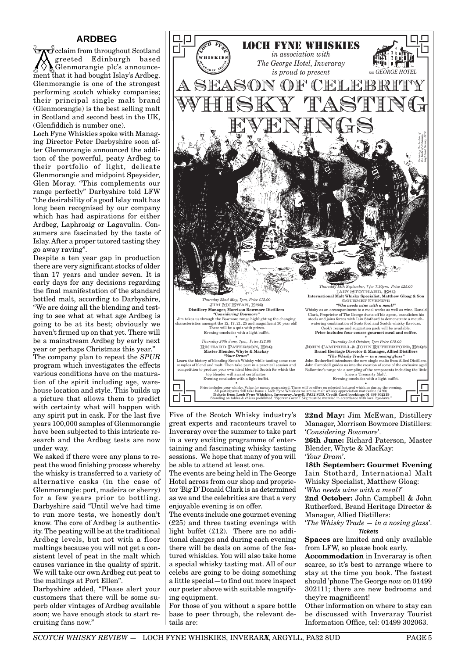# **ARDBEG**

 $\vec{c}$  cclaim from throughout Scotland greeted Edinburgh based Glenmorangie plc's announcement that it had bought Islay's Ardbeg. Glenmorangie is one of the strongest performing scotch whisky companies; their principal single malt brand (Glenmorangie) is the best selling malt in Scotland and second best in the UK, (Glenfiddich is number one).

Loch Fyne Whiskies spoke with Managing Director Peter Darbyshire soon after Glenmorangie announced the addition of the powerful, peaty Ardbeg to their portfolio of light, delicate Glenmorangie and midpoint Speysider, Glen Moray. "This complements our range perfectly" Darbyshire told LFW "the desirability of a good Islay malt has long been recognised by our company which has had aspirations for either Ardbeg, Laphroaig or Lagavulin. Consumers are fascinated by the taste of Islay. After a proper tutored tasting they go away raving".

Despite a ten year gap in production there are very significant stocks of older than 17 years and under seven. It is early days for any decisions regarding the final manifestation of the standard bottled malt, according to Darbyshire, "We are doing all the blending and testing to see what at what age Ardbeg is going to be at its best; obviously we haven't firmed up on that yet. There will be a mainstream Ardbeg by early next year or perhaps Christmas this year."

The company plan to repeat the *SPUR* program which investigates the effects various conditions have on the maturation of the spirit including age, warehouse location and style. This builds up a picture that allows them to predict with certainty what will happen with any spirit put in cask. For the last five years 100,000 samples of Glenmorangie have been subjected to this intricate research and the Ardbeg tests are now under way.

We asked if there were any plans to repeat the wood finishing process whereby the whisky is transferred to a variety of alternative casks (in the case of Glenmorangie: port, madeira or sherry) for a few years prior to bottling. Darbyshire said "Until we've had time to run more tests, we honestly don't know. The core of Ardbeg is authenticity. The peating will be at the traditional Ardbeg levels, but not with a floor maltings because you will not get a consistent level of peat in the malt which causes variance in the quality of spirit. We will take our own Ardbeg cut peat to the maltings at Port Ellen".

Darbyshire added, "Please alert your customers that there will be some superb older vintages of Ardbeg available soon; we have enough stock to start recruiting fans now."



Five of the Scotch Whisky industry's great experts and raconteurs travel to Inveraray over the summer to take part in a very exciting programme of entertaining and fascinating whisky tasting sessions. We hope that many of you will be able to attend at least one.

The events are being held in The George Hotel across from our shop and proprietor 'Big D' Donald Clark is as determined as we and the celebrities are that a very enjoyable evening is on offer.

The events include one gourmet evening (£25) and three tasting evenings with light buffet (£12). There are no additional charges and during each evening there will be deals on some of the featured whiskies. You will also take home a special whisky tasting mat. All of our celebs are going to be doing something a little special—to find out more inspect our poster above with suitable magnifying equipment.

For those of you without a spare bottle base to peer through, the relevant details are:

22nd May: Jim McEwan, Distillery Manager, Morrison Bowmore Distillers: '*Considering Bowmore*'.

**26th June:** Richard Paterson, Master Blender, Whyte & MacKay:

'*Your Dram*'.

**18th September: Gourmet Evening** Iain Stothard, International Malt Whisky Specialist, Matthew Gloag: '*Who needs wine with a meal?*'

**2nd October:** John Campbell & John Rutherford, Brand Heritage Director & Manager, Allied Distillers:

'*The Whisky Trade — in a nosing glass*'. **Tickets**

**Spaces** are limited and only available from LFW, so please book early.

**Accommodation** in Inveraray is often scarce, so it's best to arrange where to stay at the time you book. The fastest should 'phone The George *now* on 01499 302111; there are new bedrooms and they're magnificent!

Other information on where to stay can be discussed with Inveraray Tourist Information Office, tel: 01499 302063.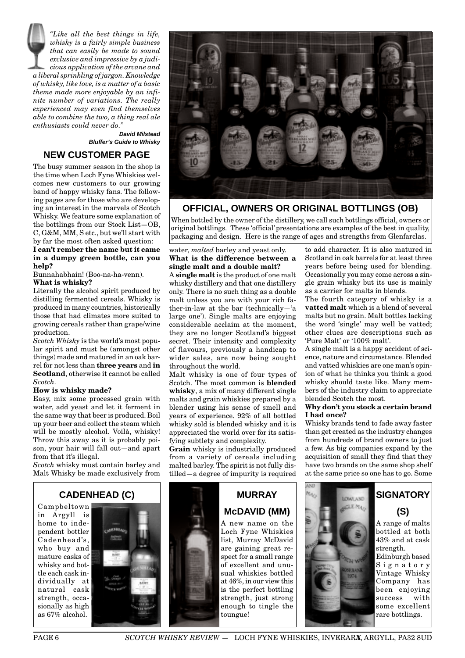*"Like all the best things in life, whisky is a fairly simple business that can easily be made to sound exclusive and impressive by a judicious application of the arcane and a liberal sprinkling of jargon. Knowledge of whisky, like love, is a matter of a basic theme made more enjoyable by an infinite number of variations. The really experienced may even find themselves able to combine the two, a thing real ale enthusiasts could never do."*

 **David Milstead Bluffer's Guide to Whisky**

# **NEW CUSTOMER PAGE**

The busy summer season in the shop is the time when Loch Fyne Whiskies welcomes new customers to our growing band of happy whisky fans. The following pages are for those who are developing an interest in the marvels of Scotch Whisky. We feature some explanation of the bottlings from our Stock List—OB, C, G&M, MM, S etc., but we'll start with by far the most often asked question:

#### **I can't rember the name but it came in a dumpy green bottle, can you help?**

Bunnahabhain! (Boo-na-ha-venn).

# **What is whisky?**

Literally the alcohol spirit produced by distilling fermented cereals. Whisky is produced in many countries, historically those that had climates more suited to growing cereals rather than grape/wine production.

*Scotch Whisky* is the world's most popular spirit and must be (amongst other things) made and matured in an oak barrel for not less than **three years** and **in Scotland**, otherwise it cannot be called *Scotch.*

#### **How is whisky made?**

Easy, mix some processed grain with water, add yeast and let it ferment in the same way that beer is produced. Boil up your beer and collect the steam which will be mostly alcohol. Voilà, whisky! Throw this away as it is probably poison, your hair will fall out—and apart from that it's illegal.

*Scotch* whisky must contain barley and Malt Whisky be made exclusively from



# **OFFICIAL, OWNERS OR ORIGINAL BOTTLINGS (OB)**

When bottled by the owner of the distillery, we call such bottlings official, owners or original bottlings. These 'official' presentations are examples of the best in quality, packaging and design. Here is the range of ages and strengths from Glenfarclas.

# water, *malted* barley and yeast only. **What is the difference between a single malt and a double malt?**

A **single malt** is the product of one malt whisky distillery and that one distillery only. There is no such thing as a double malt unless you are with your rich father-in-law at the bar (technically—'a large one'). Single malts are enjoying considerable acclaim at the moment, they are no longer Scotland's biggest secret. Their intensity and complexity of flavours, previously a handicap to wider sales, are now being sought throughout the world.

Malt whisky is one of four types of Scotch. The most common is **blended whisky**, a mix of many different single malts and grain whiskies prepared by a blender using his sense of smell and years of experience. 92% of all bottled whisky sold is blended whisky and it is appreciated the world over for its satisfying subtlety and complexity.

**Grain** whisky is industrially produced from a variety of cereals including malted barley. The spirit is not fully distilled—a degree of impurity is required

to add character. It is also matured in Scotland in oak barrels for at least three years before being used for blending. Occasionally you may come across a single grain whisky but its use is mainly as a carrier for malts in blends.

The fourth category of whisky is a **vatted malt** which is a blend of several malts but no grain. Malt bottles lacking the word 'single' may well be vatted; other clues are descriptions such as 'Pure Malt' or '100% malt'.

A single malt is a happy accident of science, nature and circumstance. Blended and vatted whiskies are one man's opinion of what he thinks you think a good whisky should taste like. Many members of the industry claim to appreciate blended Scotch the most.

#### **Why don't you stock a certain brand I had once?**

Whisky brands tend to fade away faster than get created as the industry changes from hundreds of brand owners to just a few. As big companies expand by the acquisition of small they find that they have two brands on the same shop shelf at the same price so one has to go. Some

# **CADENHEAD (C)**

Campbeltown in Argyll is home to independent bottler Cadenhead's, who buy and mature casks of whisky and bottle each cask individually at natural cask strength, occasionally as high as 67% alcohol.



# **MURRAY McDAVID (MM)** A new name on the Loch Fyne Whiskies list, Murray McDavid

are gaining great respect for a small range of excellent and unusual whiskies bottled at 46%, in our view this is the perfect bottling strength, just strong enough to tingle the toungue!



# **(S)** A range of malts bottled at both 43% and at cask strength. Edinburgh based Signatory Vintage Whisky Company has

been enjoying success with some excellent rare bottlings.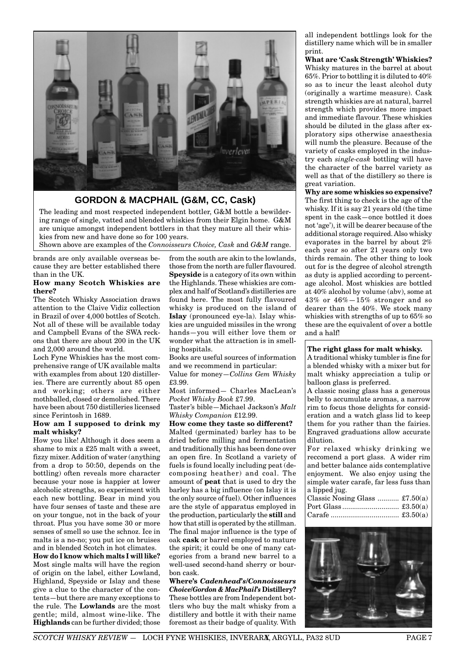

# **GORDON & MACPHAIL (G&M, CC, Cask)**

The leading and most respected independent bottler, G&M bottle a bewildering range of single, vatted and blended whiskies from their Elgin home. G&M are unique amongst independent bottlers in that they mature all their whiskies from new and have done so for 100 years.

Shown above are examples of the *Connoisseurs Choice, Cask* and *G&M* range.

brands are only available overseas because they are better established there than in the UK.

#### **How many Scotch Whiskies are there?**

The Scotch Whisky Association draws attention to the Claive Vidiz collection in Brazil of over 4,000 bottles of Scotch. Not all of these will be available today and Campbell Evans of the SWA reckons that there are about 200 in the UK and 2,000 around the world.

Loch Fyne Whiskies has the most comprehensive range of UK available malts with examples from about 120 distilleries. There are currently about 85 open and working; others are either mothballed, closed or demolished. There have been about 750 distilleries licensed since Ferintosh in 1689.

#### **How am I supposed to drink my malt whisky?**

How you like! Although it does seem a shame to mix a £25 malt with a sweet, fizzy mixer. Addition of water (anything from a drop to 50:50, depends on the bottling) often reveals more character because your nose is happier at lower alcoholic strengths, so experiment with each new bottling. Bear in mind you have four senses of taste and these are on your tongue, not in the back of your throat. Plus you have some 30 or more senses of smell so use the schnoz. Ice in malts is a no-no; you put ice on bruises and in blended Scotch in hot climates.

**How do I know which malts I will like?** Most single malts will have the region of origin on the label, either Lowland, Highland, Speyside or Islay and these give a clue to the character of the contents—but there are many exceptions to the rule. The **Lowlands** are the most gentle; mild, almost wine-like. The **Highlands** can be further divided; those from the south are akin to the lowlands, those from the north are fuller flavoured. **Speyside** is a category of its own within the Highlands. These whiskies are complex and half of Scotland's distilleries are found here. The most fully flavoured whisky is produced on the island of **Islay** (pronounced eye-la). Islay whiskies are unguided missiles in the wrong hands—you will either love them or wonder what the attraction is in smelling hospitals.

Books are useful sources of information and we recommend in particular:

Value for money—*Collins Gem Whisky* £3.99.

Most informed— Charles MacLean's *Pocket Whisky Book* £7.99.

Taster's bible—Michael Jackson's *Malt Whisky Companion* £12.99.

**How come they taste so different?** Malted (germinated) barley has to be dried before milling and fermentation and traditionally this has been done over an open fire. In Scotland a variety of fuels is found locally including peat (decomposing heather) and coal. The amount of **peat** that is used to dry the barley has a big influence (on Islay it is the only source of fuel). Other influences are the style of apparatus employed in the production, particularly the **still** and how that still is operated by the stillman. The final major influence is the type of oak **cask** or barrel employed to mature the spirit; it could be one of many categories from a brand new barrel to a well-used second-hand sherry or bourbon cask.

**Where's** *Cadenhead's/Connoisseurs Choice/Gordon & MacPhail's* **Distillery?** These bottles are from Independent bottlers who buy the malt whisky from a distillery and bottle it with their name foremost as their badge of quality. With all independent bottlings look for the distillery name which will be in smaller print.

**What are 'Cask Strength' Whiskies?** Whisky matures in the barrel at about 65%. Prior to bottling it is diluted to 40% so as to incur the least alcohol duty (originally a wartime measure). Cask strength whiskies are at natural, barrel strength which provides more impact and immediate flavour. These whiskies should be diluted in the glass after exploratory sips otherwise anaesthesia will numb the pleasure. Because of the variety of casks employed in the industry each *single-cask* bottling will have the character of the barrel variety as well as that of the distillery so there is great variation.

**Why are some whiskies so expensive?** The first thing to check is the age of the whisky. If it is say 21 years old (the time spent in the cask—once bottled it does not 'age'), it will be dearer because of the additional storage required. Also whisky evaporates in the barrel by about 2% each year so after 21 years only two thirds remain. The other thing to look out for is the degree of alcohol strength as duty is applied according to percentage alcohol. Most whiskies are bottled at 40% alcohol by volume (abv), some at 43% or 46%—15% stronger and so dearer than the 40%. We stock many whiskies with strengths of up to 65% so these are the equivalent of over a bottle and a half!

# **The right glass for malt whisky.**

A traditional whisky tumbler is fine for a blended whisky with a mixer but for malt whisky appreciation a tulip or balloon glass is preferred.

A classic nosing glass has a generous belly to accumulate aromas, a narrow rim to focus those delights for consideration and a watch glass lid to keep them for you rather than the fairies. Engraved graduations allow accurate dilution.

For relaxed whisky drinking we reccomend a port glass. A wider rim and better balance aids contemplative enjoyment. We also enjoy using the simple water carafe, far less fuss than a lipped jug.

| Classic Nosing Glass $\pounds 7.50(a)$ |  |
|----------------------------------------|--|
|                                        |  |
|                                        |  |

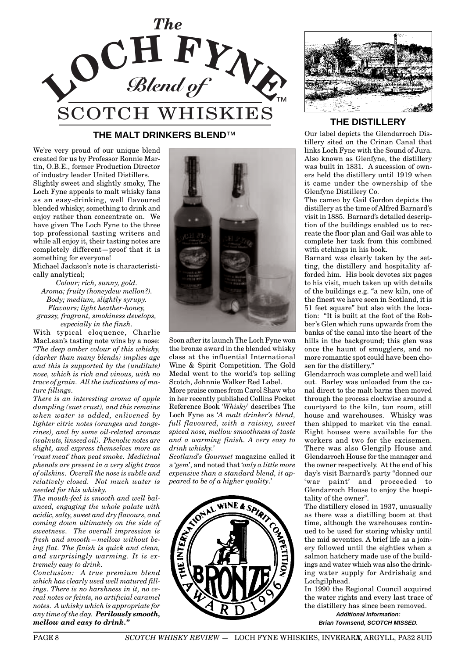

# **THE MALT DRINKERS BLEND**™

We're very proud of our unique blend created for us by Professor Ronnie Martin, O.B.E., former Production Director of industry leader United Distillers.

Slightly sweet and slightly smoky, The Loch Fyne appeals to malt whisky fans as an easy-drinking, well flavoured blended whisky; something to drink and enjoy rather than concentrate on. We have given The Loch Fyne to the three top professional tasting writers and while all enjoy it, their tasting notes are completely different—proof that it is something for everyone!

Michael Jackson's note is characteristically analytical;

*Colour; rich, sunny, gold. Aroma; fruity (honeydew mellon?). Body; medium, slightly syrupy. Flavours; light heather-honey, grassy, fragrant, smokiness develops, especially in the finsh.*

With typical eloquence, Charlie MacLean's tasting note wins by a nose: *"The deep amber colour of this whisky, (darker than many blends) implies age and this is supported by the (undilute) nose, which is rich and vinous, with no trace of grain. All the indications of mature fillings.*

*There is an interesting aroma of apple dumpling (suet crust), and this remains when water is added, enlivened by lighter citric notes (oranges and tangerines), and by some oil-related aromas (walnuts, linseed oil). Phenolic notes are slight, and express themselves more as 'roast meat' than peat smoke. Medicinal phenols are present in a very slight trace of oilskins. Overall the nose is subtle and relatively closed. Not much water is needed for this whisky.*

*The mouth-feel is smooth and well balanced, engaging the whole palate with acidic, salty, sweet and dry flavours, and coming down ultimately on the side of sweetness. The overall impression is fresh and smooth—mellow without being flat. The finish is quick and clean, and surprisingly warming. It is extremely easy to drink.*

*Conclusion: A true premium blend which has clearly used well matured fillings. There is no harshness in it, no cereal notes or feints, no artificial caramel notes. A whisky which is appropriate for any time of the day. Perilously smooth, mellow and easy to drink."*



Soon after its launch The Loch Fyne won the bronze award in the blended whisky class at the influential International Wine & Spirit Competition. The Gold Medal went to the world's top selling Scotch, Johnnie Walker Red Label.

More praise comes from Carol Shaw who in her recently published Collins Pocket Reference Book *'Whisky'* describes The Loch Fyne as *'A malt drinker's blend, full flavoured, with a raisiny, sweet spiced nose, mellow smoothness of taste and a warming finish. A very easy to drink whisky.'*

*Scotland's Gourmet* magazine called it a '*gem*', and noted that '*only a little more expensive than a standard blend, it appeared to be of a higher quality*.'





# **THE DISTILLERY**

Our label depicts the Glendarroch Distillery sited on the Crinan Canal that links Loch Fyne with the Sound of Jura. Also known as Glenfyne, the distillery was built in 1831. A sucession of owners held the distillery until 1919 when it came under the ownership of the Glenfyne Distillery Co.

The cameo by Gail Gordon depicts the distillery at the time of Alfred Barnard's visit in 1885. Barnard's detailed description of the buildings enabled us to recreate the floor plan and Gail was able to complete her task from this combined with etchings in his book.

Barnard was clearly taken by the setting, the distillery and hospitality afforded him. His book devotes six pages to his visit, much taken up with details of the buildings e.g. "a new kiln, one of the finest we have seen in Scotland, it is 51 feet square" but also with the location: "It is built at the foot of the Robber's Glen which runs upwards from the banks of the canal into the heart of the hills in the background; this glen was once the haunt of smugglers, and no more romantic spot could have been chosen for the distillery."

Glendarroch was complete and well laid out. Barley was unloaded from the canal direct to the malt barns then moved through the process clockwise around a courtyard to the kiln, tun room, still house and warehouses. Whisky was then shipped to market via the canal. Eight houses were available for the workers and two for the excisemen. There was also Glengilp House and Glendarroch House for the manager and the owner respectively. At the end of his day's visit Barnard's party "donned our 'war paint' and proceeded to Glendarroch House to enjoy the hospitality of the owner".

The distillery closed in 1937, unusually as there was a distilling boom at that time, although the warehouses continued to be used for storing whisky until the mid seventies. A brief life as a joinery followed until the eighties when a salmon hatchery made use of the buildings and water which was also the drinking water supply for Ardrishaig and Lochgilphead.

In 1990 the Regional Council acquired the water rights and every last trace of the distillery has since been removed. **Additional information:**

**Brian Townsend, SCOTCH MISSED.**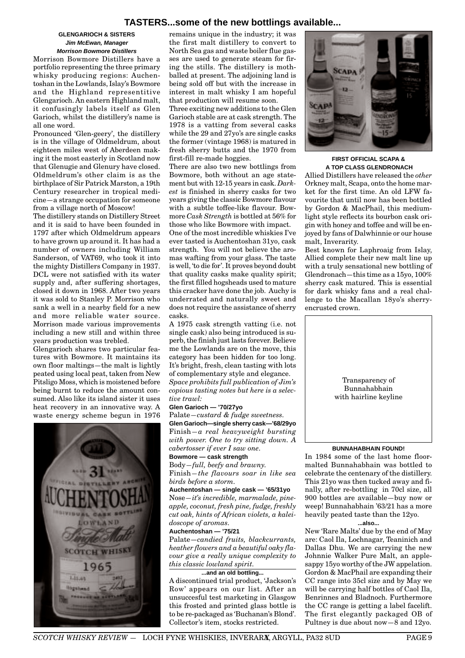# **TASTERS...some of the new bottlings available...**

#### **GLENGARIOCH & SISTERS Jim McEwan, Manager Morrison Bowmore Distillers**

Morrison Bowmore Distillers have a portfolio representing the three primary whisky producing regions: Auchentoshan in the Lowlands, Islay's Bowmore and the Highland representitive Glengarioch. An eastern Highland malt, it confusingly labels itself as Glen Garioch, whilst the distillery's name is all one word.

Pronounced 'Glen-geery', the distillery is in the village of Oldmeldrum, about eighteen miles west of Aberdeen making it the most easterly in Scotland now that Glenugie and Glenury have closed. Oldmeldrum's other claim is as the birthplace of Sir Patrick Marston, a 19th Century researcher in tropical medicine—a strange occupation for someone from a village north of Moscow!

The distillery stands on Distillery Street and it is said to have been founded in 1797 after which Oldmeldrum appears to have grown up around it. It has had a number of owners including William Sanderson, of VAT69, who took it into the mighty Distillers Company in 1937. DCL were not satisfied with its water supply and, after suffering shortages, closed it down in 1968. After two years it was sold to Stanley P. Morrison who sank a well in a nearby field for a new and more reliable water source. Morrison made various improvements including a new still and within three years production was trebled.

Glengarioch shares two particular features with Bowmore. It maintains its own floor maltings—the malt is lightly peated using local peat, taken from New Pitsligo Moss, which is moistened before being burnt to reduce the amount consumed. Also like its island sister it uses heat recovery in an innovative way. A waste energy scheme begun in 1976



remains unique in the industry; it was the first malt distillery to convert to North Sea gas and waste boiler flue gasses are used to generate steam for firing the stills. The distillery is mothballed at present. The adjoining land is being sold off but with the increase in interest in malt whisky I am hopeful that production will resume soon.

Three exciting new additions to the Glen Garioch stable are at cask strength. The 1978 is a vatting from several casks while the 29 and 27yo's are single casks the former (vintage 1968) is matured in fresh sherry butts and the 1970 from first-fill re-made hoggies.

There are also two new bottlings from Bowmore, both without an age statement but with 12-15 years in cask. *Darkest* is finished in sherry casks for two years giving the classic Bowmore flavour with a subtle toffee-like flavour. Bowmore *Cask Strength* is bottled at 56% for those who like Bowmore with impact.

One of the most incredible whiskies I've ever tasted is Auchentoshan 31yo, cask strength. You will not believe the aromas wafting from your glass. The taste is well, 'to die for'. It proves beyond doubt that quality casks make quality spirit; the first filled hogsheads used to mature this cracker have done the job. Auchy is underrated and naturally sweet and does not require the assistance of sherry casks.

A 1975 cask strength vatting (i.e. not single cask) also being introduced is superb, the finish just lasts forever. Believe me the Lowlands are on the move, this category has been hidden for too long. It's bright, fresh, clean tasting with lots of complementary style and elegance. *Space prohibits full publication of Jim's copious tasting notes but here is a selec-*

*tive trawl:*

# **Glen Garioch — '70/27yo**

Palate*—custard & fudge sweetness.*

**Glen Garioch—single sherry cask—'68/29yo** Finish*—a real heavyweight bursting with power. One to try sitting down. A cabertosser if ever I saw one.*

# **Bowmore — cask strength**

Body*—full, beefy and brawny.*

Finish*—the flavours soar in like sea birds before a storm.*

**Auchentoshan — single cask — '65/31yo** Nose*—it's incredible, marmalade, pineapple, coconut, fresh pine, fudge, freshly cut oak, hints of African violets, a kaleidoscope of aromas.*

#### **Auchentoshan — '75/21**

Palate—*candied fruits, blackcurrants, heather flowers and a beautiful oaky flavour give a really unique complexity to this classic lowland spirit.*

**...and an old bottling...** A discontinued trial product, 'Jackson's Row' appears on our list. After an unsuccesful test marketing in Glasgow this frosted and printed glass bottle is to be re-packaged as 'Buchanan's Blond'. Collector's item, stocks restricted.



# **FIRST OFFICIAL SCAPA & A TOP CLASS GLENDRONACH**

Allied Distillers have released the *other* Orkney malt, Scapa, onto the home market for the first time. An old LFW favourite that until now has been bottled by Gordon & MacPhail, this mediumlight style reflects its bourbon cask origin with honey and toffee and will be enjoyed by fans of Dalwhinnie or our house malt, Inverarity.

Best known for Laphroaig from Islay, Allied complete their new malt line up with a truly sensational new bottling of Glendronach—this time as a 15yo, 100% sherry cask matured. This is essential for dark whisky fans and a real challenge to the Macallan 18yo's sherryencrusted crown.



#### **BUNNAHABHAIN FOUND!**

In 1984 some of the last home floormalted Bunnahabhain was bottled to celebrate the centenary of the distillery. This 21yo was then tucked away and finally, after re-bottling in 70cl size, all 900 bottles are available—buy now or weep! Bunnahabhain '63/21 has a more heavily peated taste than the 12yo.

#### **...also...**

New 'Rare Malts' due by the end of May are: Caol Ila, Lochnagar, Teaninich and Dallas Dhu. We are carrying the new Johnnie Walker Pure Malt, an applesappy 15yo worthy of the JW appelation. Gordon & MacPhail are expanding their CC range into 35cl size and by May we will be carrying half bottles of Caol Ila, Benrinnes and Bladnoch. Furthermore the CC range is getting a label facelift. The first elegantly packaged OB of Pultney is due about now—8 and 12yo.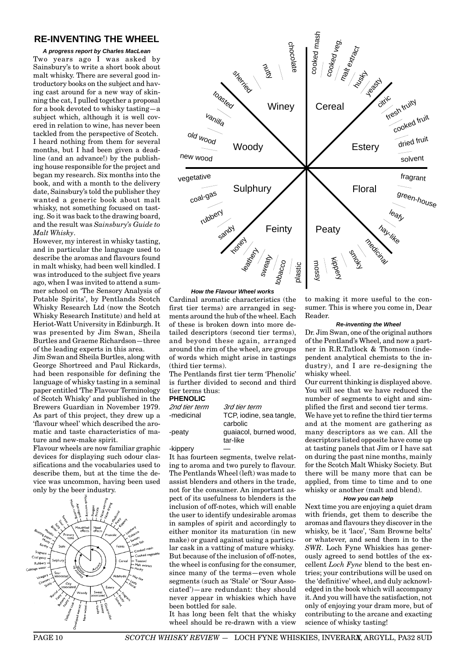# **RE-INVENTING THE WHEEL**

**A progress report by Charles MacLean** Two years ago I was asked by Sainsbury's to write a short book about malt whisky. There are several good introductory books on the subject and having cast around for a new way of skinning the cat, I pulled together a proposal for a book devoted to whisky tasting—a subject which, although it is well covered in relation to wine, has never been tackled from the perspective of Scotch. I heard nothing from them for several months, but I had been given a deadline (and an advance!) by the publishing house responsible for the project and began my research. Six months into the book, and with a month to the delivery date, Sainsbury's told the publisher they wanted a generic book about malt whisky, not something focused on tasting. So it was back to the drawing board, and the result was *Sainsbury's Guide to Malt Whisky*.

However, my interest in whisky tasting, and in particular the language used to describe the aromas and flavours found in malt whisky, had been well kindled. I was introduced to the subject five years ago, when I was invited to attend a summer school on 'The Sensory Analysis of Potable Spirits', by Pentlands Scotch Whisky Research Ltd (now the Scotch Whisky Research Institute) and held at Heriot-Watt University in Edinburgh. It was presented by Jim Swan, Sheila Burtles and Graeme Richardson—three of the leading experts in this area.

Jim Swan and Sheila Burtles, along with George Shortreed and Paul Rickards, had been responsible for defining the language of whisky tasting in a seminal paper entitled 'The Flavour Terminology of Scotch Whisky' and published in the Brewers Guardian in November 1979. As part of this project, they drew up a 'flavour wheel' which described the aromatic and taste characteristics of mature and new-make spirit.

Flavour wheels are now familiar graphic devices for displaying such odour classifications and the vocabularies used to describe them, but at the time the device was uncommon, having been used only by the beer industry.





#### **How the Flavour Wheel works**

Cardinal aromatic characteristics (the first tier terms) are arranged in segments around the hub of the wheel. Each of these is broken down into more detailed descriptors (second tier terms), and beyond these again, arranged around the rim of the wheel, are groups of words which might arise in tastings (third tier terms).

The Pentlands first tier term 'Phenolic' is further divided to second and third tier terms thus:

# **PHENOLIC**

| 2nd tier term | 3rd tier term            |
|---------------|--------------------------|
| -medicinal    | TCP, iodine, sea tangle, |
|               | carbolic                 |
| -peaty        | quaiacol, burned wood,   |
|               | tar-like                 |

#### -kippery

It has fourteen segments, twelve relating to aroma and two purely to flavour. The Pentlands Wheel (left) was made to assist blenders and others in the trade, not for the consumer. An important aspect of its usefulness to blenders is the inclusion of off-notes, which will enable the user to identify undesirable aromas in samples of spirit and accordingly to either monitor its maturation (in new make) or guard against using a particular cask in a vatting of mature whisky. But because of the inclusion of off-notes, the wheel is confusing for the consumer, since many of the terms—even whole segments (such as 'Stale' or 'Sour Associated')—are redundant: they should never appear in whiskies which have been bottled for sale.

It has long been felt that the whisky wheel should be re-drawn with a view to making it more useful to the consumer. This is where you come in, Dear Reader.

#### **Re-inventing the Wheel**

Dr. Jim Swan, one of the original authors of the Pentland's Wheel, and now a partner in R.R.Tatlock & Thomson (independent analytical chemists to the industry), and I are re-designing the whisky wheel.

Our current thinking is displayed above. You will see that we have reduced the number of segments to eight and simplified the first and second tier terms. We have yet to refine the third tier terms and at the moment are gathering as many descriptors as we can. All the descriptors listed opposite have come up at tasting panels that Jim or I have sat on during the past nine months, mainly for the Scotch Malt Whisky Society. But there will be many more that can be applied, from time to time and to one whisky or another (malt and blend).

#### **How you can help**

Next time you are enjoying a quiet dram with friends, get them to describe the aromas and flavours they discover in the whisky, be it 'lace', 'Sam Browne belts' or whatever, and send them in to the *SWR*. Loch Fyne Whiskies has generously agreed to send bottles of the excellent *Loch Fyne* blend to the best entries; your contributions will be used on the 'definitive' wheel, and duly acknowledged in the book which will accompany it. And you will have the satisfaction, not only of enjoying your dram more, but of contributing to the arcane and exacting science of whisky tasting!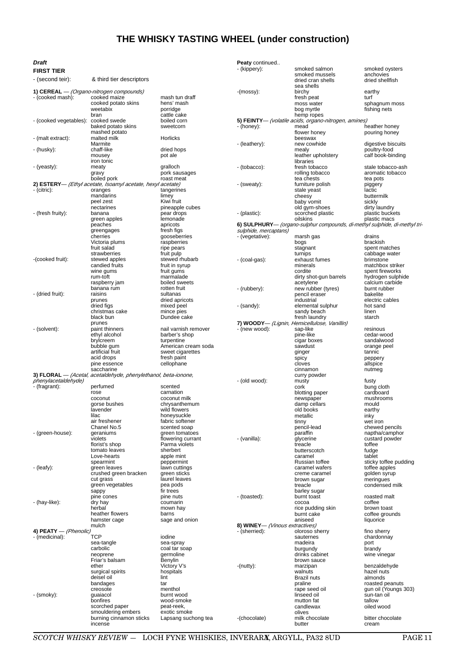# **THE WHISKY TASTING WHEEL (under construction)**

| Draft                  |                                                                                     |                                   | Peaty continued                |                                                                            |                                  |
|------------------------|-------------------------------------------------------------------------------------|-----------------------------------|--------------------------------|----------------------------------------------------------------------------|----------------------------------|
| FIRST TIER             |                                                                                     |                                   | - (kippery):                   | smoked salmon<br>smoked mussels                                            | smoked oysters<br>anchovies      |
| - (second teir):       | & third tier descriptors                                                            |                                   |                                | dried cran shells<br>sea shells                                            | dried shellfish                  |
|                        | 1) CEREAL - (Organo-nitrogen compounds)                                             |                                   | $-($ mossy $)$ :               | birchy                                                                     | earthy                           |
| - (cooked mash):       | cooked maize                                                                        | mash tun draff                    |                                | fresh peat                                                                 | turf                             |
|                        | cooked potato skins                                                                 | hens' mash                        |                                | moss water                                                                 | sphagnum moss                    |
|                        | weetabix<br>bran                                                                    | porridge<br>cattle cake           |                                | bog myrtle<br>hemp ropes                                                   | fishing nets                     |
| - (cooked vegetables): | cooked swede                                                                        | boiled corn                       |                                | 5) FEINTY- (volatile acids, organo-nitrogen, amines)                       |                                  |
|                        | baked potato skins                                                                  | sweetcorn                         | - (honey):                     | mead                                                                       | heather honey                    |
| - (malt extract):      | mashed potato<br>malted milk                                                        | Horlicks                          |                                | flower honey<br>beeswax                                                    | pouring honey                    |
|                        | Marmite                                                                             |                                   | - (leathery):                  | new cowhide                                                                | digestive biscuits               |
| - (husky):             | chaff-like                                                                          | dried hops                        |                                | mealy                                                                      | poultry-food                     |
|                        | mousey                                                                              | pot ale                           |                                | leather upholstery                                                         | calf book-binding                |
| - (yeasty):            | iron tonic<br>meaty                                                                 | gralloch                          | - (tobacco):                   | libraries<br>fresh tobacco                                                 | stale tobacco-ash                |
|                        | gravy                                                                               | pork sausages                     |                                | rolling tobacco                                                            | aromatic tobacco                 |
|                        | boiled pork                                                                         | roast meat                        |                                | tea chests                                                                 | tea pots                         |
| - (citric):            | 2) ESTERY— (Ethyl acetate, Isoamyl acetate, hexyl acetate)<br>oranges               | tangerines                        | - (sweaty):                    | furniture polish<br>stale yeast                                            | piggery<br>lactic                |
|                        | mandarins                                                                           | limey                             |                                | cheesy                                                                     | buttermilk                       |
|                        | peel zest                                                                           | Kiwi fruit                        |                                | baby vomit                                                                 | sickly                           |
| - (fresh fruity):      | nectarines<br>banana                                                                | pineapple cubes<br>pear drops     |                                | old gym-shoes                                                              | dirty laundry<br>plastic buckets |
|                        | green apples                                                                        | lemonade                          | - (plastic):                   | scorched plastic<br>oilskins                                               | plastic macs                     |
|                        | peaches                                                                             | apricots                          |                                | 6) SULPHURY— (organo-sulphur compounds, di-methyl sulphide, di-methyl tri- |                                  |
|                        | greengages                                                                          | fresh figs                        | sulphide, mercaptans)          |                                                                            |                                  |
|                        | cherries<br>Victoria plums                                                          | gooseberries<br>raspberries       | - (vegetative):                | marsh gas<br>bogs                                                          | drains<br>brackish               |
|                        | fruit salad                                                                         | ripe pears                        |                                | stagnant                                                                   | spent matches                    |
|                        | strawberries                                                                        | fruit pulp                        |                                | turnips                                                                    | cabbage water                    |
| -(cooked fruit):       | stewed apples                                                                       | stewed rhubarb                    | - (coal-gas):                  | exhaust fumes                                                              | brimstone<br>matchbox striker    |
|                        | candied fruits<br>wine gums                                                         | fruit in syrup<br>fruit gums      |                                | minerals<br>cordite                                                        | spent fireworks                  |
|                        | rum-toft                                                                            | marmalade                         |                                | dirty shot-gun barrels                                                     | hydrogen sulphide                |
|                        | raspberry jam                                                                       | boiled sweets                     |                                | acetylene                                                                  | calcium carbide                  |
| - (dried fruit):       | banana rum<br>raisins                                                               | rotten fruit<br>sultanas          | - (rubbery):                   | new rubber (tyres)<br>pencil eraser                                        | burnt rubber<br>bakelite         |
|                        | prunes                                                                              | dried apricots                    |                                | industrial                                                                 | electric cables                  |
|                        | dried figs                                                                          | mixed peel                        | - (sandy):                     | elemental sulphur                                                          | hot sand                         |
|                        | christmas cake                                                                      | mince pies                        |                                | sandy beach                                                                | linen                            |
|                        | black bun<br>prunes                                                                 | Dundee cake                       |                                | fresh laundry<br>7) WOODY- (Lignin, Hemicellulose, Vanillin)               | starch                           |
| - (solvent):           | paint thinners                                                                      | nail varnish remover              | - (new wood):                  | sap-like                                                                   | resinous                         |
|                        | ethyl alcohol                                                                       | barber's shop                     |                                | pine-like                                                                  | cedar-wood                       |
|                        | brylcreem<br>bubble gum                                                             | turpentine<br>American cream soda |                                | cigar boxes<br>sawdust                                                     | sandalwood<br>orange peel        |
|                        | artificial fruit                                                                    | sweet cigarettes                  |                                | ginger                                                                     | tannic                           |
|                        | acid drops                                                                          | fresh paint                       |                                | spicy                                                                      | peppery                          |
|                        | pine essence                                                                        | cellophane                        |                                | cloves                                                                     | allspice                         |
|                        | saccharine<br>3) FLORAL — <i>(Acetal, acetaldehyde, phenylethanol, beta-ionone,</i> |                                   |                                | cinnamon<br>curry powder                                                   | nutmeg                           |
| phenylacetaldehyde)    |                                                                                     |                                   | - (old wood):                  | musty                                                                      | fusty                            |
| - (fragrant):          | perfumed                                                                            | scented                           |                                | cork                                                                       | bung cloth                       |
|                        | rose<br>coconut                                                                     | carnation<br>coconut milk         |                                | blotting paper<br>newspaper                                                | cardboard<br>mushrooms           |
|                        | gorse bushes                                                                        | chrysanthemum                     |                                | damp cellars                                                               | mould                            |
|                        | lavender                                                                            | wild flowers                      |                                | old books                                                                  | earthy                           |
|                        | lilac<br>air freshener                                                              | honeysuckle<br>fabric softener    |                                | metallic<br>tinny                                                          | inky<br>wet iron                 |
|                        | Chanel No.5                                                                         | scented soap                      |                                | pencil-lead                                                                | chewed pencils                   |
| - (green-house):       | geraniums                                                                           | green tomatoes                    |                                | paraffin                                                                   | naptha/camphor                   |
|                        | violets                                                                             | flowering currant                 | - (vanilla):                   | glycerine                                                                  | custard powder                   |
|                        | florist's shop<br>tomato leaves                                                     | Parma violets<br>sherbert         |                                | treacle<br>butterscotch                                                    | toffee<br>fudge                  |
|                        | Love-hearts                                                                         | apple mint                        |                                | caramel                                                                    | tablet                           |
|                        | spearmint                                                                           | peppermint                        |                                | Russian toffee                                                             | sticky toffee pudding            |
| - (leafy):             | green leaves<br>crushed green bracken                                               | lawn cuttings<br>green sticks     |                                | caramel wafers<br>creme caramel                                            | toffee apples<br>golden syrup    |
|                        | cut grass                                                                           | laurel leaves                     |                                | brown sugar                                                                | meringues                        |
|                        | green vegetables                                                                    | pea pods                          |                                | treacle                                                                    | condensed milk                   |
|                        | sappy                                                                               | fir trees                         |                                | barley sugar                                                               |                                  |
| - (hay-like):          | pine cones<br>dry hay                                                               | pine nuts<br>coumarin             | - (toasted):                   | burnt toast<br>cocoa                                                       | roasted malt<br>coffee           |
|                        | herbal                                                                              | mown hav                          |                                | rice pudding skin                                                          | brown toast                      |
|                        | heather flowers                                                                     | barns                             |                                | burnt cake                                                                 | coffee grounds                   |
|                        | hamster cage<br>mulch                                                               | sage and onion                    | 8) WINEY- (Vinous extractives) | aniseed                                                                    | liquorice                        |
| 4) PEATY — (Phenolic)  |                                                                                     |                                   | - (sherried):                  | oloroso sherry                                                             | fino sherry                      |
| - (medicinal):         | TCP                                                                                 | iodine                            |                                | sauternes                                                                  | chardonnay                       |
|                        | sea-tangle                                                                          | sea-spray                         |                                | madeira                                                                    | port                             |
|                        | carbolic<br>neoprene                                                                | coal tar soap<br>germoline        |                                | burgundy<br>drinks cabinet                                                 | brandy<br>wine vinegar           |
|                        | Friar's balsam                                                                      | Benylin                           |                                | brown sauce                                                                |                                  |
|                        | ether                                                                               | Victory V's                       | $-$ (nutty):                   | marzipan                                                                   | benzaldehyde                     |
|                        | surgical spirits<br>deisel oil                                                      | hospitals<br>lint                 |                                | walnuts<br>Brazil nuts                                                     | hazel nuts<br>almonds            |
|                        | bandages                                                                            | tar                               |                                | praline                                                                    | roasted peanuts                  |
|                        | creosote                                                                            | menthol                           |                                | rape seed oil                                                              | gun oil (Youngs 303)             |
| - (smoky):             | guaiacol                                                                            | burnt wood                        |                                | linseed oil                                                                | sun-tan oil<br>tallow            |
|                        | bonfires<br>scorched paper                                                          | wood-smoke<br>peat-reek,          |                                | mutton fat<br>candlewax                                                    | oiled wood                       |
|                        | smouldering embers                                                                  | exotic smoke                      |                                | olives                                                                     |                                  |
|                        | burning cinnamon sticks                                                             | Lapsang suchong tea               | -(chocolate)                   | milk chocolate                                                             | bitter chocolate                 |
|                        | incense                                                                             |                                   |                                | butter                                                                     | cream                            |